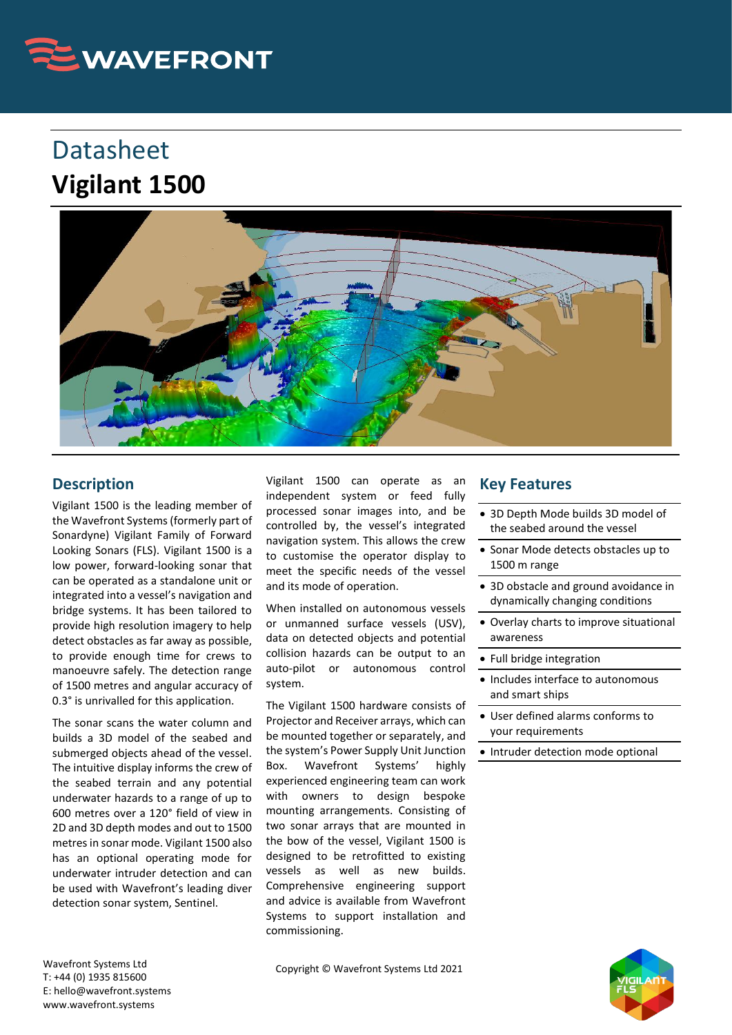

## Datasheet **Vigilant 1500**



## **Description**

Vigilant 1500 is the leading member of the Wavefront Systems (formerly part of Sonardyne) Vigilant Family of Forward Looking Sonars (FLS). Vigilant 1500 is a low power, forward-looking sonar that can be operated as a standalone unit or integrated into a vessel's navigation and bridge systems. It has been tailored to provide high resolution imagery to help detect obstacles as far away as possible, to provide enough time for crews to manoeuvre safely. The detection range of 1500 metres and angular accuracy of 0.3° is unrivalled for this application.

The sonar scans the water column and builds a 3D model of the seabed and submerged objects ahead of the vessel. The intuitive display informs the crew of the seabed terrain and any potential underwater hazards to a range of up to 600 metres over a 120° field of view in 2D and 3D depth modes and out to 1500 metres in sonar mode. Vigilant 1500 also has an optional operating mode for underwater intruder detection and can be used with Wavefront's leading diver detection sonar system, Sentinel.

Vigilant 1500 can operate as an independent system or feed fully processed sonar images into, and be controlled by, the vessel's integrated navigation system. This allows the crew to customise the operator display to meet the specific needs of the vessel and its mode of operation.

When installed on autonomous vessels or unmanned surface vessels (USV), data on detected objects and potential collision hazards can be output to an auto-pilot or autonomous control system.

The Vigilant 1500 hardware consists of Projector and Receiver arrays, which can be mounted together or separately, and the system's Power Supply Unit Junction Box. Wavefront Systems' highly experienced engineering team can work with owners to design bespoke mounting arrangements. Consisting of two sonar arrays that are mounted in the bow of the vessel, Vigilant 1500 is designed to be retrofitted to existing vessels as well as new builds. Comprehensive engineering support and advice is available from Wavefront Systems to support installation and commissioning.

## **Key Features**

- 3D Depth Mode builds 3D model of the seabed around the vessel
- Sonar Mode detects obstacles up to 1500 m range
- 3D obstacle and ground avoidance in dynamically changing conditions
- Overlay charts to improve situational awareness
- Full bridge integration
- Includes interface to autonomous and smart ships
- User defined alarms conforms to your requirements
- Intruder detection mode optional